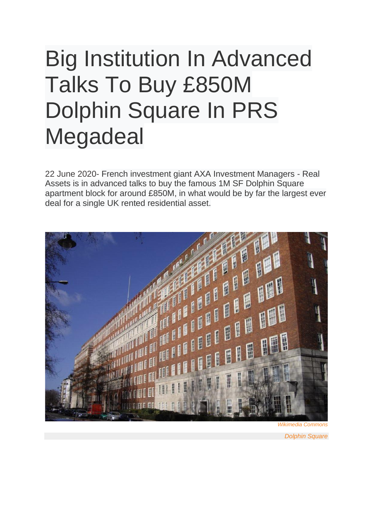## Big Institution In Advanced Talks To Buy £850M Dolphin Square In PRS Megadeal

22 June 2020- French investment giant AXA Investment Managers - Real Assets is in advanced talks to buy the famous 1M SF Dolphin Square apartment block for around £850M, in what would be by far the largest ever deal for a single UK rented residential asset.



*Dolphin Square*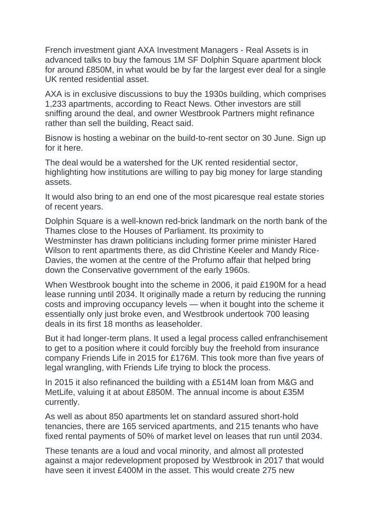French investment giant AXA Investment Managers - Real Assets is in advanced talks to buy the famous 1M SF Dolphin Square apartment block for around £850M, in what would be by far the largest ever deal for a single UK rented residential asset.

AXA is in exclusive discussions to buy the 1930s building, which comprises 1,233 apartments, according to React News. Other investors are still sniffing around the deal, and owner Westbrook Partners might refinance rather than sell the building, React said.

Bisnow is hosting a webinar on the build-to-rent sector on 30 June. Sign up for it here.

The deal would be a watershed for the UK rented residential sector, highlighting how institutions are willing to pay big money for large standing assets.

It would also bring to an end one of the most picaresque real estate stories of recent years.

Dolphin Square is a well-known red-brick landmark on the north bank of the Thames close to the Houses of Parliament. Its proximity to Westminster has drawn politicians including former prime minister Hared Wilson to rent apartments there, as did Christine Keeler and Mandy Rice-Davies, the women at the centre of the Profumo affair that helped bring down the Conservative government of the early 1960s.

When Westbrook bought into the scheme in 2006, it paid £190M for a head lease running until 2034. It originally made a return by reducing the running costs and improving occupancy levels — when it bought into the scheme it essentially only just broke even, and Westbrook undertook 700 leasing deals in its first 18 months as leaseholder.

But it had longer-term plans. It used a legal process called enfranchisement to get to a position where it could forcibly buy the freehold from insurance company Friends Life in 2015 for £176M. This took more than five years of legal wrangling, with Friends Life trying to block the process.

In 2015 it also refinanced the building with a £514M loan from M&G and MetLife, valuing it at about £850M. The annual income is about £35M currently.

As well as about 850 apartments let on standard assured short-hold tenancies, there are 165 serviced apartments, and 215 tenants who have fixed rental payments of 50% of market level on leases that run until 2034.

These tenants are a loud and vocal minority, and almost all protested against a major redevelopment proposed by Westbrook in 2017 that would have seen it invest £400M in the asset. This would create 275 new